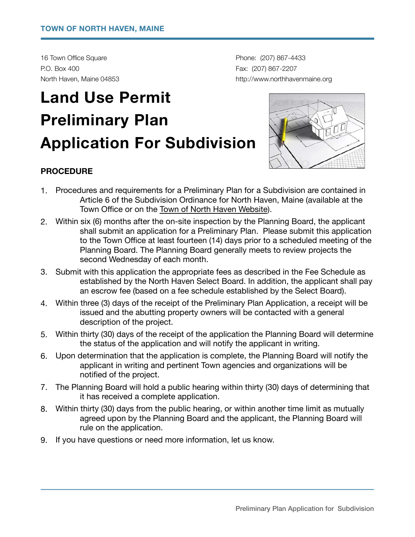16 Town Office Square **by Community 16 Town Office Square** *COT Phone: (207) 867-4433* P.O. Box 400 **Fax: (207) 867-2207** 

North Haven, Maine 04853 *North Haven, Maine 04853 north havenmaine.org northhavenmaine.org* 

# **Land Use Permit Preliminary Plan Application For Subdivision**



### **PROCEDURE**

- 1. Procedures and requirements for a Preliminary Plan for a Subdivision are contained in Article 6 of the Subdivision Ordinance for North Haven, Maine (available at the Town Office or on the [Town of North Haven Website\)](http://www.northhavenmaine.org/).
- 2. Within six (6) months after the on-site inspection by the Planning Board, the applicant shall submit an application for a Preliminary Plan. Please submit this application to the Town Office at least fourteen (14) days prior to a scheduled meeting of the Planning Board. The Planning Board generally meets to review projects the second Wednesday of each month.
- 3. Submit with this application the appropriate fees as described in the Fee Schedule as established by the North Haven Select Board. In addition, the applicant shall pay an escrow fee (based on a fee schedule established by the Select Board).
- 4. Within three (3) days of the receipt of the Preliminary Plan Application, a receipt will be issued and the abutting property owners will be contacted with a general description of the project.
- 5. Within thirty (30) days of the receipt of the application the Planning Board will determine the status of the application and will notify the applicant in writing.
- 6. Upon determination that the application is complete, the Planning Board will notify the applicant in writing and pertinent Town agencies and organizations will be notified of the project.
- 7. The Planning Board will hold a public hearing within thirty (30) days of determining that it has received a complete application.
- 8. Within thirty (30) days from the public hearing, or within another time limit as mutually agreed upon by the Planning Board and the applicant, the Planning Board will rule on the application.
- 9. If you have questions or need more information, let us know.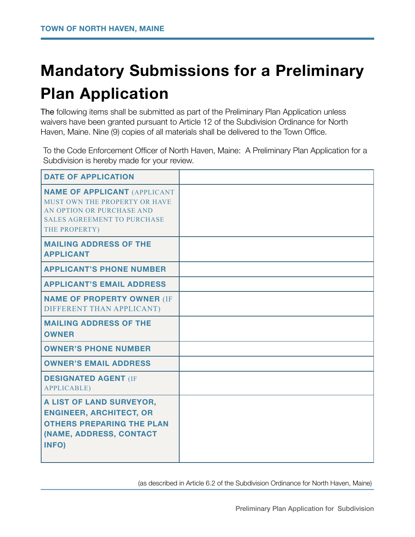## **Mandatory Submissions for a Preliminary Plan Application**

The following items shall be submitted as part of the Preliminary Plan Application unless waivers have been granted pursuant to Article 12 of the Subdivision Ordinance for North Haven, Maine. Nine (9) copies of all materials shall be delivered to the Town Office.

To the Code Enforcement Officer of North Haven, Maine: A Preliminary Plan Application for a Subdivision is hereby made for your review.

| <b>DATE OF APPLICATION</b>                                                                                                                               |  |
|----------------------------------------------------------------------------------------------------------------------------------------------------------|--|
| <b>NAME OF APPLICANT (APPLICANT</b><br>MUST OWN THE PROPERTY OR HAVE<br>AN OPTION OR PURCHASE AND<br><b>SALES AGREEMENT TO PURCHASE</b><br>THE PROPERTY) |  |
| <b>MAILING ADDRESS OF THE</b><br><b>APPLICANT</b>                                                                                                        |  |
| <b>APPLICANT'S PHONE NUMBER</b>                                                                                                                          |  |
| <b>APPLICANT'S EMAIL ADDRESS</b>                                                                                                                         |  |
| <b>NAME OF PROPERTY OWNER (IF</b><br>DIFFERENT THAN APPLICANT)                                                                                           |  |
| <b>MAILING ADDRESS OF THE</b><br><b>OWNER</b>                                                                                                            |  |
| <b>OWNER'S PHONE NUMBER</b>                                                                                                                              |  |
| <b>OWNER'S EMAIL ADDRESS</b>                                                                                                                             |  |
| <b>DESIGNATED AGENT (IF</b><br><b>APPLICABLE)</b>                                                                                                        |  |
| A LIST OF LAND SURVEYOR,<br><b>ENGINEER, ARCHITECT, OR</b><br><b>OTHERS PREPARING THE PLAN</b><br>(NAME, ADDRESS, CONTACT<br>INFO)                       |  |

 (as described in Article 6.2 of the Subdivision Ordinance for North Haven, Maine)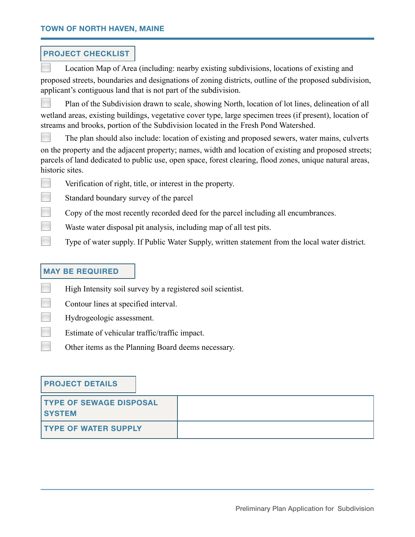#### **PROJECT CHECKLIST**

Location Map of Area (including: nearby existing subdivisions, locations of existing and proposed streets, boundaries and designations of zoning districts, outline of the proposed subdivision, applicant's contiguous land that is not part of the subdivision.

Plan of the Subdivision drawn to scale, showing North, location of lot lines, delineation of all wetland areas, existing buildings, vegetative cover type, large specimen trees (if present), location of streams and brooks, portion of the Subdivision located in the Fresh Pond Watershed.

◻ The plan should also include: location of existing and proposed sewers, water mains, culverts on the property and the adjacent property; names, width and location of existing and proposed streets; parcels of land dedicated to public use, open space, forest clearing, flood zones, unique natural areas, historic sites.

- Verification of right, title, or interest in the property.
- Standard boundary survey of the parcel
- Copy of the most recently recorded deed for the parcel including all encumbrances.
- **Example 3** Waste water disposal pit analysis, including map of all test pits.
- Type of water supply. If Public Water Supply, written statement from the local water district.

#### **MAY BE REQUIRED**

- **EXECUTE:** High Intensity soil survey by a registered soil scientist.
- ◻ Contour lines at specified interval.
- ◻ Hydrogeologic assessment.
- Estimate of vehicular traffic/traffic impact.
	- ◻ Other items as the Planning Board deems necessary.

#### **PROJECT DETAILS**

| <b>TYPE OF SEWAGE DISPOSAL</b><br><b>SYSTEM</b> |  |
|-------------------------------------------------|--|
| <b>TYPE OF WATER SUPPLY</b>                     |  |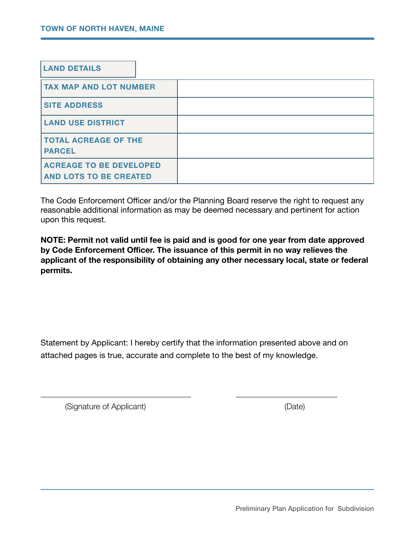| <b>LAND DETAILS</b>                                             |  |
|-----------------------------------------------------------------|--|
| <b>TAX MAP AND LOT NUMBER</b>                                   |  |
| <b>SITE ADDRESS</b>                                             |  |
| <b>LAND USE DISTRICT</b>                                        |  |
| <b>TOTAL ACREAGE OF THE</b><br><b>PARCEL</b>                    |  |
| <b>ACREAGE TO BE DEVELOPED</b><br><b>AND LOTS TO BE CREATED</b> |  |

The Code Enforcement Officer and/or the Planning Board reserve the right to request any reasonable additional information as may be deemed necessary and pertinent for action upon this request.

**NOTE: Permit not valid until fee is paid and is good for one year from date approved by Code Enforcement Officer. The issuance of this permit in no way relieves the applicant of the responsibility of obtaining any other necessary local, state or federal permits.** 

Statement by Applicant: I hereby certify that the information presented above and on attached pages is true, accurate and complete to the best of my knowledge.

\_\_\_\_\_\_\_\_\_\_\_\_\_\_\_\_\_\_\_\_\_\_\_\_\_\_\_\_\_\_\_\_\_\_\_\_\_ \_\_\_\_\_\_\_\_\_\_\_\_\_\_\_\_\_\_\_\_\_\_\_\_\_

(Signature of Applicant) (Date)